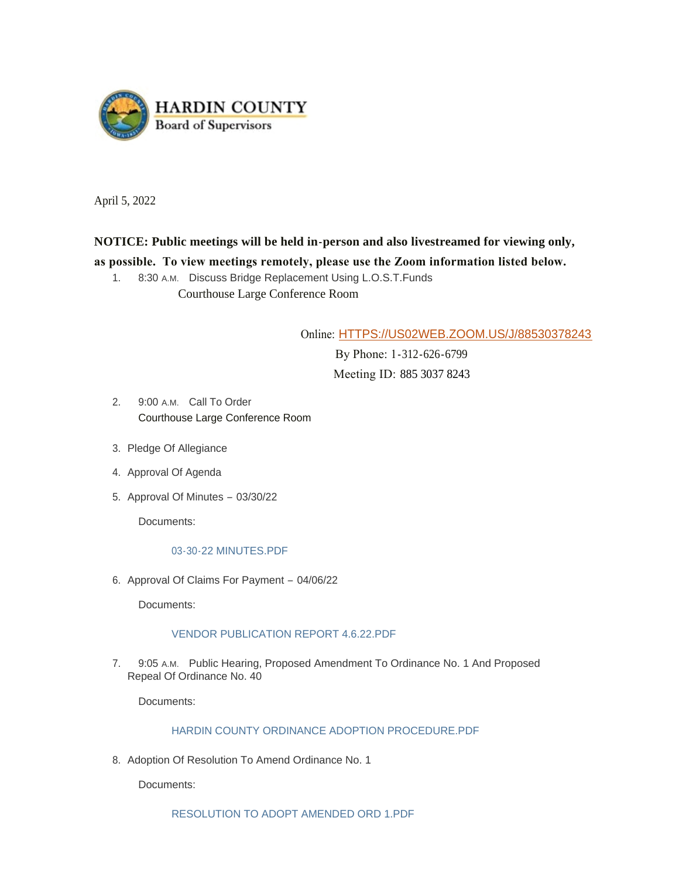

April 5, 2022

# **NOTICE: Public meetings will be held in-person and also livestreamed for viewing only,**

# **as possible. To view meetings remotely, please use the Zoom information listed below.**

1. 8:30 A.M. Discuss Bridge Replacement Using L.O.S.T. Funds Courthouse Large Conference Room

Online: [HTTPS://US02WEB.ZOOM.US/J/88530378243](https://us02web.zoom.us/j/88530378243)

 By Phone: 1-312-626-6799 Meeting ID: 885 3037 8243

- 2. 9:00 A.M. Call To Order Courthouse Large Conference Room
- 3. Pledge Of Allegiance
- 4. Approval Of Agenda
- 5. Approval Of Minutes 03/30/22

Documents:

# [03-30-22 MINUTES.PDF](https://www.hardincountyia.gov/AgendaCenter/ViewFile/Item/8677?fileID=7032)

6. Approval Of Claims For Payment - 04/06/22

Documents:

# [VENDOR PUBLICATION REPORT 4.6.22.PDF](https://www.hardincountyia.gov/AgendaCenter/ViewFile/Item/8678?fileID=7033)

7. 9:05 A.M. Public Hearing, Proposed Amendment To Ordinance No. 1 And Proposed Repeal Of Ordinance No. 40

Documents:

# [HARDIN COUNTY ORDINANCE ADOPTION PROCEDURE.PDF](https://www.hardincountyia.gov/AgendaCenter/ViewFile/Item/8679?fileID=7034)

8. Adoption Of Resolution To Amend Ordinance No. 1

Documents:

[RESOLUTION TO ADOPT AMENDED ORD 1.PDF](https://www.hardincountyia.gov/AgendaCenter/ViewFile/Item/8680?fileID=7036)